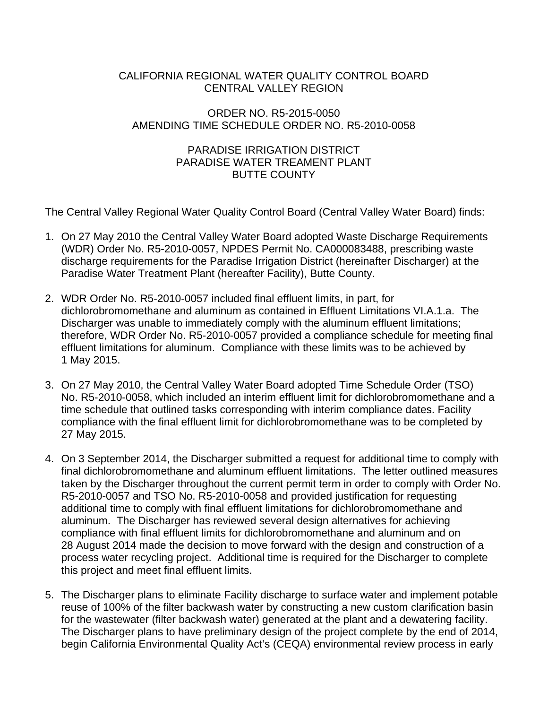## CALIFORNIA REGIONAL WATER QUALITY CONTROL BOARD CENTRAL VALLEY REGION

## ORDER NO. R5-2015-0050 AMENDING TIME SCHEDULE ORDER NO. R5-2010-0058

## PARADISE IRRIGATION DISTRICT PARADISE WATER TREAMENT PLANT BUTTE COUNTY

The Central Valley Regional Water Quality Control Board (Central Valley Water Board) finds:

- 1. On 27 May 2010 the Central Valley Water Board adopted Waste Discharge Requirements (WDR) Order No. R5-2010-0057, NPDES Permit No. CA000083488, prescribing waste discharge requirements for the Paradise Irrigation District (hereinafter Discharger) at the Paradise Water Treatment Plant (hereafter Facility), Butte County.
- 2. WDR Order No. R5-2010-0057 included final effluent limits, in part, for dichlorobromomethane and aluminum as contained in Effluent Limitations VI.A.1.a. The Discharger was unable to immediately comply with the aluminum effluent limitations; therefore, WDR Order No. R5-2010-0057 provided a compliance schedule for meeting final effluent limitations for aluminum. Compliance with these limits was to be achieved by 1 May 2015.
- 3. On 27 May 2010, the Central Valley Water Board adopted Time Schedule Order (TSO) No. R5-2010-0058, which included an interim effluent limit for dichlorobromomethane and a time schedule that outlined tasks corresponding with interim compliance dates. Facility compliance with the final effluent limit for dichlorobromomethane was to be completed by 27 May 2015.
- 4. On 3 September 2014, the Discharger submitted a request for additional time to comply with final dichlorobromomethane and aluminum effluent limitations. The letter outlined measures taken by the Discharger throughout the current permit term in order to comply with Order No. R5-2010-0057 and TSO No. R5-2010-0058 and provided justification for requesting additional time to comply with final effluent limitations for dichlorobromomethane and aluminum. The Discharger has reviewed several design alternatives for achieving compliance with final effluent limits for dichlorobromomethane and aluminum and on 28 August 2014 made the decision to move forward with the design and construction of a process water recycling project. Additional time is required for the Discharger to complete this project and meet final effluent limits.
- 5. The Discharger plans to eliminate Facility discharge to surface water and implement potable reuse of 100% of the filter backwash water by constructing a new custom clarification basin for the wastewater (filter backwash water) generated at the plant and a dewatering facility. The Discharger plans to have preliminary design of the project complete by the end of 2014, begin California Environmental Quality Act's (CEQA) environmental review process in early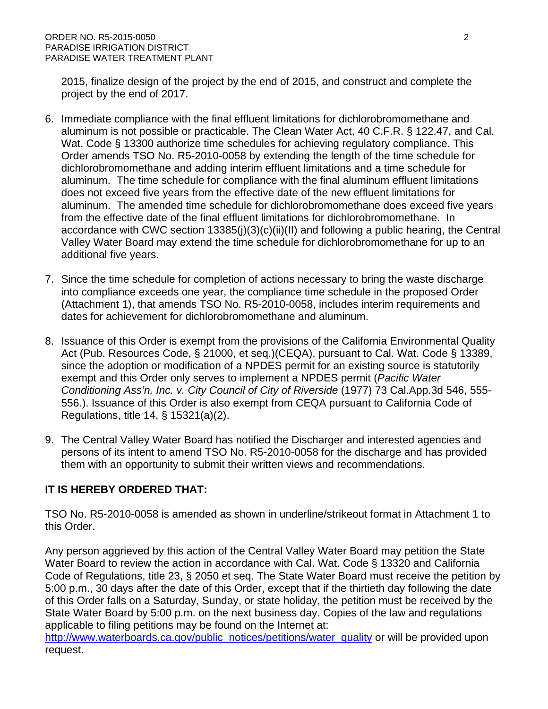2015, finalize design of the project by the end of 2015, and construct and complete the project by the end of 2017.

- 6. Immediate compliance with the final effluent limitations for dichlorobromomethane and aluminum is not possible or practicable. The Clean Water Act, 40 C.F.R. § 122.47, and Cal. Wat. Code § 13300 authorize time schedules for achieving regulatory compliance. This Order amends TSO No. R5-2010-0058 by extending the length of the time schedule for dichlorobromomethane and adding interim effluent limitations and a time schedule for aluminum. The time schedule for compliance with the final aluminum effluent limitations does not exceed five years from the effective date of the new effluent limitations for aluminum. The amended time schedule for dichlorobromomethane does exceed five years from the effective date of the final effluent limitations for dichlorobromomethane. In accordance with CWC section 13385(j)(3)(c)(ii)(II) and following a public hearing, the Central Valley Water Board may extend the time schedule for dichlorobromomethane for up to an additional five years.
- 7. Since the time schedule for completion of actions necessary to bring the waste discharge into compliance exceeds one year, the compliance time schedule in the proposed Order (Attachment 1), that amends TSO No. R5-2010-0058, includes interim requirements and dates for achievement for dichlorobromomethane and aluminum.
- 8. Issuance of this Order is exempt from the provisions of the California Environmental Quality Act (Pub. Resources Code, § 21000, et seq.)(CEQA), pursuant to Cal. Wat. Code § 13389, since the adoption or modification of a NPDES permit for an existing source is statutorily exempt and this Order only serves to implement a NPDES permit (*Pacific Water Conditioning Ass'n, Inc. v. City Council of City of Riverside* (1977) 73 Cal.App.3d 546, 555- 556.). Issuance of this Order is also exempt from CEQA pursuant to California Code of Regulations, title 14, § 15321(a)(2).
- 9. The Central Valley Water Board has notified the Discharger and interested agencies and persons of its intent to amend TSO No. R5-2010-0058 for the discharge and has provided them with an opportunity to submit their written views and recommendations.

## **IT IS HEREBY ORDERED THAT:**

TSO No. R5-2010-0058 is amended as shown in underline/strikeout format in Attachment 1 to this Order.

Any person aggrieved by this action of the Central Valley Water Board may petition the State Water Board to review the action in accordance with Cal. Wat. Code § 13320 and California Code of Regulations, title 23, § 2050 et seq. The State Water Board must receive the petition by 5:00 p.m., 30 days after the date of this Order, except that if the thirtieth day following the date of this Order falls on a Saturday, Sunday, or state holiday, the petition must be received by the State Water Board by 5:00 p.m. on the next business day. Copies of the law and regulations applicable to filing petitions may be found on the Internet at:

[http://www.waterboards.ca.gov/public\\_notices/petitions/water\\_quality](http://www.waterboards.ca.gov/public_notices/petitions/water_quality) or will be provided upon request.